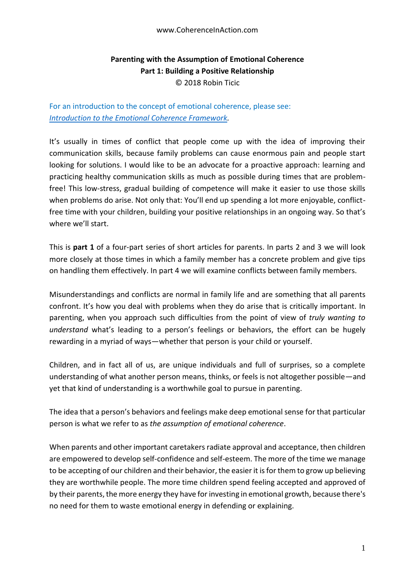## **Parenting with the Assumption of Emotional Coherence Part 1: Building a Positive Relationship** © 2018 Robin Ticic

For an introduction to the concept of emotional coherence, please see: *[Introduction to the Emotional Coherence Framework.](https://docs.wixstatic.com/ugd/c5924b_b0a26bc557dd48ac9421975d9b8dce9a.pdf)*

It's usually in times of conflict that people come up with the idea of improving their communication skills, because family problems can cause enormous pain and people start looking for solutions. I would like to be an advocate for a proactive approach: learning and practicing healthy communication skills as much as possible during times that are problemfree! This low-stress, gradual building of competence will make it easier to use those skills when problems do arise. Not only that: You'll end up spending a lot more enjoyable, conflictfree time with your children, building your positive relationships in an ongoing way. So that's where we'll start.

This is **part 1** of a four-part series of short articles for parents. In parts 2 and 3 we will look more closely at those times in which a family member has a concrete problem and give tips on handling them effectively. In part 4 we will examine conflicts between family members.

Misunderstandings and conflicts are normal in family life and are something that all parents confront. It's how you deal with problems when they do arise that is critically important. In parenting, when you approach such difficulties from the point of view of *truly wanting to understand* what's leading to a person's feelings or behaviors, the effort can be hugely rewarding in a myriad of ways—whether that person is your child or yourself.

Children, and in fact all of us, are unique individuals and full of surprises, so a complete understanding of what another person means, thinks, or feels is not altogether possible—and yet that kind of understanding is a worthwhile goal to pursue in parenting.

The idea that a person's behaviors and feelings make deep emotional sense for that particular person is what we refer to as *the assumption of emotional coherence*.

When parents and other important caretakers radiate approval and acceptance, then children are empowered to develop self-confidence and self-esteem. The more of the time we manage to be accepting of our children and their behavior, the easier it is for them to grow up believing they are worthwhile people. The more time children spend feeling accepted and approved of by their parents, the more energy they have for investing in emotional growth, because there's no need for them to waste emotional energy in defending or explaining.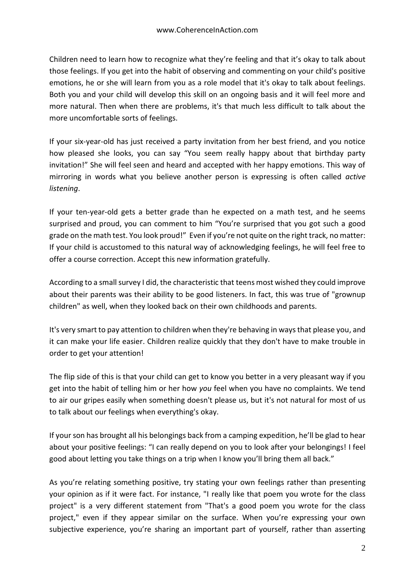Children need to learn how to recognize what they're feeling and that it's okay to talk about those feelings. If you get into the habit of observing and commenting on your child's positive emotions, he or she will learn from you as a role model that it's okay to talk about feelings. Both you and your child will develop this skill on an ongoing basis and it will feel more and more natural. Then when there are problems, it's that much less difficult to talk about the more uncomfortable sorts of feelings.

If your six-year-old has just received a party invitation from her best friend, and you notice how pleased she looks, you can say "You seem really happy about that birthday party invitation!" She will feel seen and heard and accepted with her happy emotions. This way of mirroring in words what you believe another person is expressing is often called *active listening*.

If your ten-year-old gets a better grade than he expected on a math test, and he seems surprised and proud, you can comment to him "You're surprised that you got such a good grade on the math test. You look proud!" Even if you're not quite on the right track, no matter: If your child is accustomed to this natural way of acknowledging feelings, he will feel free to offer a course correction. Accept this new information gratefully.

According to a small survey I did, the characteristic that teens most wished they could improve about their parents was their ability to be good listeners. In fact, this was true of "grownup children" as well, when they looked back on their own childhoods and parents.

It's very smart to pay attention to children when they're behaving in ways that please you, and it can make your life easier. Children realize quickly that they don't have to make trouble in order to get your attention!

The flip side of this is that your child can get to know you better in a very pleasant way if you get into the habit of telling him or her how *you* feel when you have no complaints. We tend to air our gripes easily when something doesn't please us, but it's not natural for most of us to talk about our feelings when everything's okay.

If your son has brought all his belongings back from a camping expedition, he'll be glad to hear about your positive feelings: "I can really depend on you to look after your belongings! I feel good about letting you take things on a trip when I know you'll bring them all back."

As you're relating something positive, try stating your own feelings rather than presenting your opinion as if it were fact. For instance, "I really like that poem you wrote for the class project" is a very different statement from "That's a good poem you wrote for the class project," even if they appear similar on the surface. When you're expressing your own subjective experience, you're sharing an important part of yourself, rather than asserting